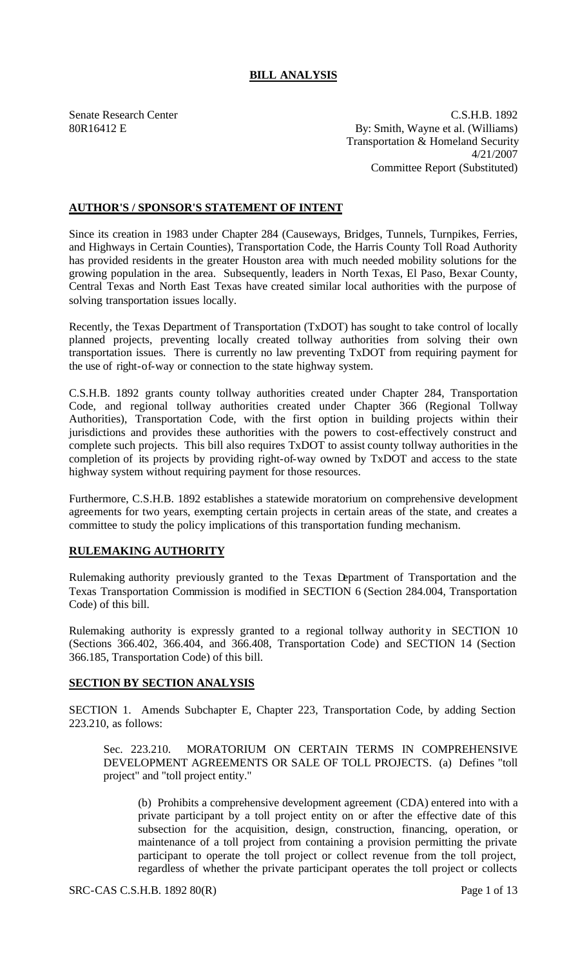# **BILL ANALYSIS**

Senate Research Center C.S.H.B. 1892 80R16412 E By: Smith, Wayne et al. (Williams) Transportation & Homeland Security 4/21/2007 Committee Report (Substituted)

## **AUTHOR'S / SPONSOR'S STATEMENT OF INTENT**

Since its creation in 1983 under Chapter 284 (Causeways, Bridges, Tunnels, Turnpikes, Ferries, and Highways in Certain Counties), Transportation Code, the Harris County Toll Road Authority has provided residents in the greater Houston area with much needed mobility solutions for the growing population in the area. Subsequently, leaders in North Texas, El Paso, Bexar County, Central Texas and North East Texas have created similar local authorities with the purpose of solving transportation issues locally.

Recently, the Texas Department of Transportation (TxDOT) has sought to take control of locally planned projects, preventing locally created tollway authorities from solving their own transportation issues. There is currently no law preventing TxDOT from requiring payment for the use of right-of-way or connection to the state highway system.

C.S.H.B. 1892 grants county tollway authorities created under Chapter 284, Transportation Code, and regional tollway authorities created under Chapter 366 (Regional Tollway Authorities), Transportation Code, with the first option in building projects within their jurisdictions and provides these authorities with the powers to cost-effectively construct and complete such projects. This bill also requires TxDOT to assist county tollway authorities in the completion of its projects by providing right-of-way owned by TxDOT and access to the state highway system without requiring payment for those resources.

Furthermore, C.S.H.B. 1892 establishes a statewide moratorium on comprehensive development agreements for two years, exempting certain projects in certain areas of the state, and creates a committee to study the policy implications of this transportation funding mechanism.

## **RULEMAKING AUTHORITY**

Rulemaking authority previously granted to the Texas Department of Transportation and the Texas Transportation Commission is modified in SECTION 6 (Section 284.004, Transportation Code) of this bill.

Rulemaking authority is expressly granted to a regional tollway authority in SECTION 10 (Sections 366.402, 366.404, and 366.408, Transportation Code) and SECTION 14 (Section 366.185, Transportation Code) of this bill.

#### **SECTION BY SECTION ANALYSIS**

SECTION 1. Amends Subchapter E, Chapter 223, Transportation Code, by adding Section 223.210, as follows:

Sec. 223.210. MORATORIUM ON CERTAIN TERMS IN COMPREHENSIVE DEVELOPMENT AGREEMENTS OR SALE OF TOLL PROJECTS. (a) Defines "toll project" and "toll project entity."

(b) Prohibits a comprehensive development agreement (CDA) entered into with a private participant by a toll project entity on or after the effective date of this subsection for the acquisition, design, construction, financing, operation, or maintenance of a toll project from containing a provision permitting the private participant to operate the toll project or collect revenue from the toll project, regardless of whether the private participant operates the toll project or collects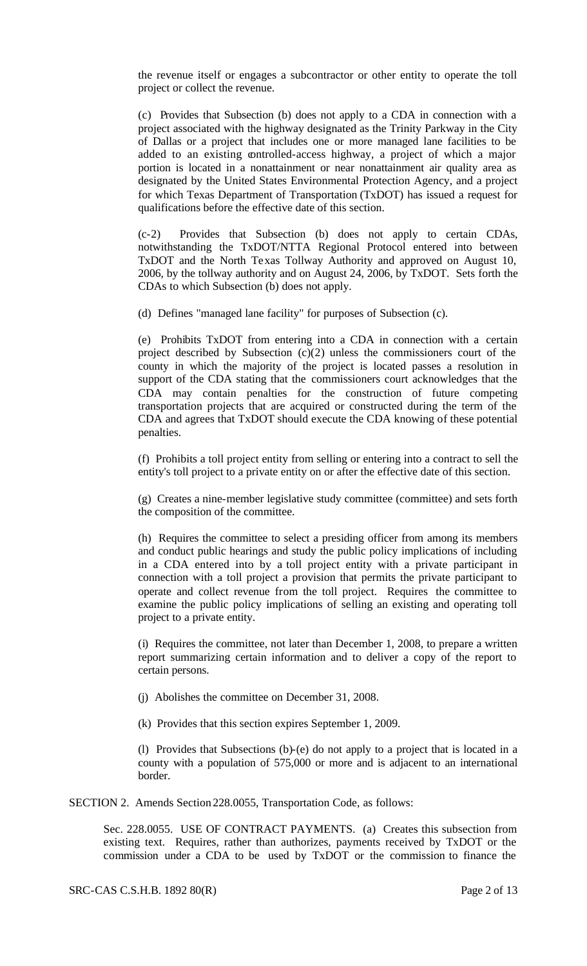the revenue itself or engages a subcontractor or other entity to operate the toll project or collect the revenue.

(c) Provides that Subsection (b) does not apply to a CDA in connection with a project associated with the highway designated as the Trinity Parkway in the City of Dallas or a project that includes one or more managed lane facilities to be added to an existing controlled-access highway, a project of which a major portion is located in a nonattainment or near nonattainment air quality area as designated by the United States Environmental Protection Agency, and a project for which Texas Department of Transportation (TxDOT) has issued a request for qualifications before the effective date of this section.

(c-2) Provides that Subsection (b) does not apply to certain CDAs, notwithstanding the TxDOT/NTTA Regional Protocol entered into between TxDOT and the North Texas Tollway Authority and approved on August 10, 2006, by the tollway authority and on August 24, 2006, by TxDOT. Sets forth the CDAs to which Subsection (b) does not apply.

(d) Defines "managed lane facility" for purposes of Subsection (c).

(e) Prohibits TxDOT from entering into a CDA in connection with a certain project described by Subsection (c)(2) unless the commissioners court of the county in which the majority of the project is located passes a resolution in support of the CDA stating that the commissioners court acknowledges that the CDA may contain penalties for the construction of future competing transportation projects that are acquired or constructed during the term of the CDA and agrees that TxDOT should execute the CDA knowing of these potential penalties.

(f) Prohibits a toll project entity from selling or entering into a contract to sell the entity's toll project to a private entity on or after the effective date of this section.

(g) Creates a nine-member legislative study committee (committee) and sets forth the composition of the committee.

(h) Requires the committee to select a presiding officer from among its members and conduct public hearings and study the public policy implications of including in a CDA entered into by a toll project entity with a private participant in connection with a toll project a provision that permits the private participant to operate and collect revenue from the toll project. Requires the committee to examine the public policy implications of selling an existing and operating toll project to a private entity.

(i) Requires the committee, not later than December 1, 2008, to prepare a written report summarizing certain information and to deliver a copy of the report to certain persons.

(j) Abolishes the committee on December 31, 2008.

(k) Provides that this section expires September 1, 2009.

(l) Provides that Subsections (b)-(e) do not apply to a project that is located in a county with a population of 575,000 or more and is adjacent to an international border.

SECTION 2. Amends Section 228.0055, Transportation Code, as follows:

Sec. 228.0055. USE OF CONTRACT PAYMENTS. (a) Creates this subsection from existing text. Requires, rather than authorizes, payments received by TxDOT or the commission under a CDA to be used by TxDOT or the commission to finance the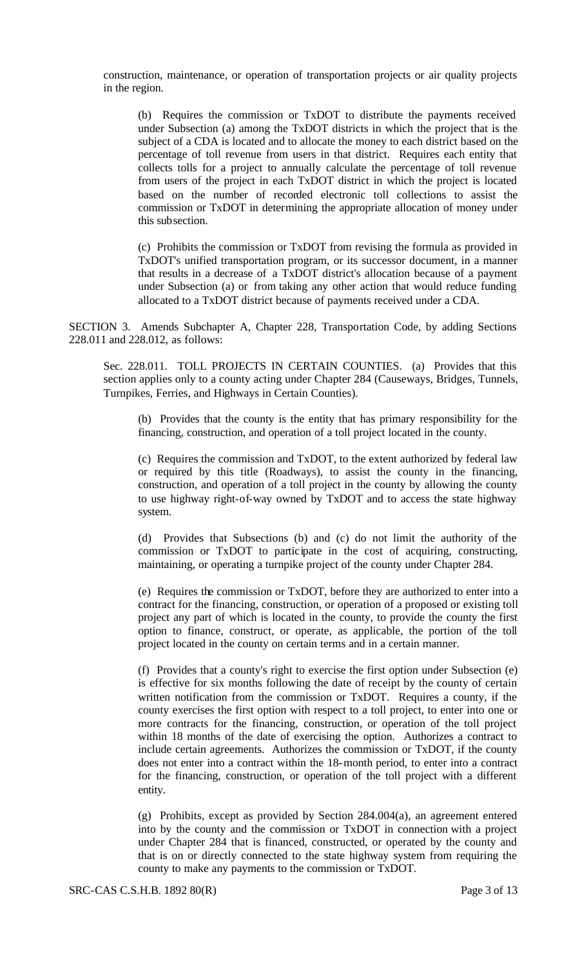construction, maintenance, or operation of transportation projects or air quality projects in the region.

(b) Requires the commission or TxDOT to distribute the payments received under Subsection (a) among the TxDOT districts in which the project that is the subject of a CDA is located and to allocate the money to each district based on the percentage of toll revenue from users in that district. Requires each entity that collects tolls for a project to annually calculate the percentage of toll revenue from users of the project in each TxDOT district in which the project is located based on the number of recorded electronic toll collections to assist the commission or TxDOT in determining the appropriate allocation of money under this subsection.

(c) Prohibits the commission or TxDOT from revising the formula as provided in TxDOT's unified transportation program, or its successor document, in a manner that results in a decrease of a TxDOT district's allocation because of a payment under Subsection (a) or from taking any other action that would reduce funding allocated to a TxDOT district because of payments received under a CDA.

SECTION 3. Amends Subchapter A, Chapter 228, Transportation Code, by adding Sections 228.011 and 228.012, as follows:

Sec. 228.011. TOLL PROJECTS IN CERTAIN COUNTIES. (a) Provides that this section applies only to a county acting under Chapter 284 (Causeways, Bridges, Tunnels, Turnpikes, Ferries, and Highways in Certain Counties).

(b) Provides that the county is the entity that has primary responsibility for the financing, construction, and operation of a toll project located in the county.

(c) Requires the commission and TxDOT, to the extent authorized by federal law or required by this title (Roadways), to assist the county in the financing, construction, and operation of a toll project in the county by allowing the county to use highway right-of-way owned by TxDOT and to access the state highway system.

(d) Provides that Subsections (b) and (c) do not limit the authority of the commission or TxDOT to participate in the cost of acquiring, constructing, maintaining, or operating a turnpike project of the county under Chapter 284.

(e) Requires the commission or TxDOT, before they are authorized to enter into a contract for the financing, construction, or operation of a proposed or existing toll project any part of which is located in the county, to provide the county the first option to finance, construct, or operate, as applicable, the portion of the toll project located in the county on certain terms and in a certain manner.

(f) Provides that a county's right to exercise the first option under Subsection (e) is effective for six months following the date of receipt by the county of certain written notification from the commission or TxDOT. Requires a county, if the county exercises the first option with respect to a toll project, to enter into one or more contracts for the financing, construction, or operation of the toll project within 18 months of the date of exercising the option. Authorizes a contract to include certain agreements. Authorizes the commission or TxDOT, if the county does not enter into a contract within the 18-month period, to enter into a contract for the financing, construction, or operation of the toll project with a different entity.

(g) Prohibits, except as provided by Section 284.004(a), an agreement entered into by the county and the commission or TxDOT in connection with a project under Chapter 284 that is financed, constructed, or operated by the county and that is on or directly connected to the state highway system from requiring the county to make any payments to the commission or TxDOT.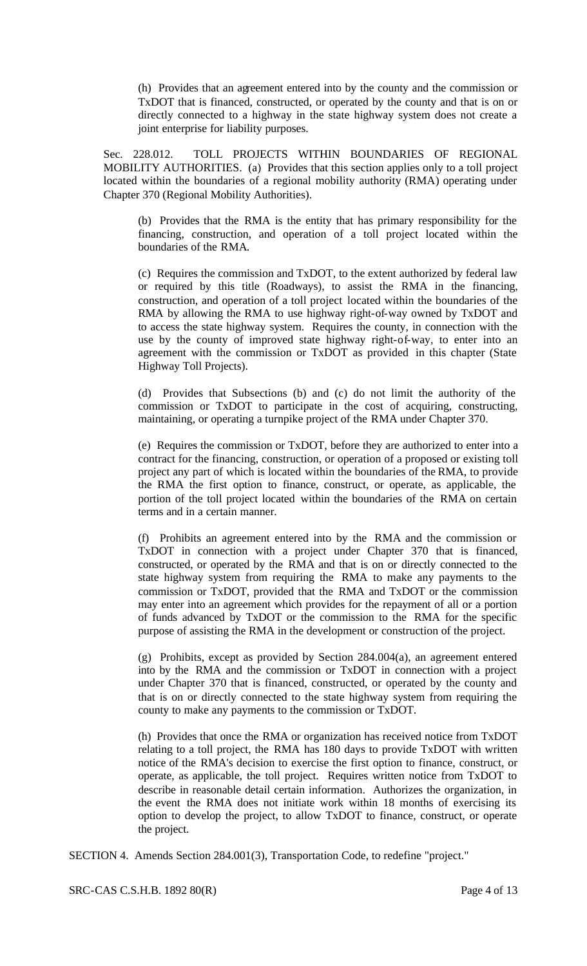(h) Provides that an agreement entered into by the county and the commission or TxDOT that is financed, constructed, or operated by the county and that is on or directly connected to a highway in the state highway system does not create a joint enterprise for liability purposes.

Sec. 228.012. TOLL PROJECTS WITHIN BOUNDARIES OF REGIONAL MOBILITY AUTHORITIES. (a) Provides that this section applies only to a toll project located within the boundaries of a regional mobility authority (RMA) operating under Chapter 370 (Regional Mobility Authorities).

(b) Provides that the RMA is the entity that has primary responsibility for the financing, construction, and operation of a toll project located within the boundaries of the RMA.

(c) Requires the commission and TxDOT, to the extent authorized by federal law or required by this title (Roadways), to assist the RMA in the financing, construction, and operation of a toll project located within the boundaries of the RMA by allowing the RMA to use highway right-of-way owned by TxDOT and to access the state highway system. Requires the county, in connection with the use by the county of improved state highway right-of-way, to enter into an agreement with the commission or TxDOT as provided in this chapter (State Highway Toll Projects).

(d) Provides that Subsections (b) and (c) do not limit the authority of the commission or TxDOT to participate in the cost of acquiring, constructing, maintaining, or operating a turnpike project of the RMA under Chapter 370.

(e) Requires the commission or TxDOT, before they are authorized to enter into a contract for the financing, construction, or operation of a proposed or existing toll project any part of which is located within the boundaries of the RMA, to provide the RMA the first option to finance, construct, or operate, as applicable, the portion of the toll project located within the boundaries of the RMA on certain terms and in a certain manner.

(f) Prohibits an agreement entered into by the RMA and the commission or TxDOT in connection with a project under Chapter 370 that is financed, constructed, or operated by the RMA and that is on or directly connected to the state highway system from requiring the RMA to make any payments to the commission or TxDOT, provided that the RMA and TxDOT or the commission may enter into an agreement which provides for the repayment of all or a portion of funds advanced by TxDOT or the commission to the RMA for the specific purpose of assisting the RMA in the development or construction of the project.

(g) Prohibits, except as provided by Section 284.004(a), an agreement entered into by the RMA and the commission or TxDOT in connection with a project under Chapter 370 that is financed, constructed, or operated by the county and that is on or directly connected to the state highway system from requiring the county to make any payments to the commission or TxDOT.

(h) Provides that once the RMA or organization has received notice from TxDOT relating to a toll project, the RMA has 180 days to provide TxDOT with written notice of the RMA's decision to exercise the first option to finance, construct, or operate, as applicable, the toll project. Requires written notice from TxDOT to describe in reasonable detail certain information. Authorizes the organization, in the event the RMA does not initiate work within 18 months of exercising its option to develop the project, to allow TxDOT to finance, construct, or operate the project.

SECTION 4. Amends Section 284.001(3), Transportation Code, to redefine "project."

SRC-CAS C.S.H.B. 1892 80(R) Page 4 of 13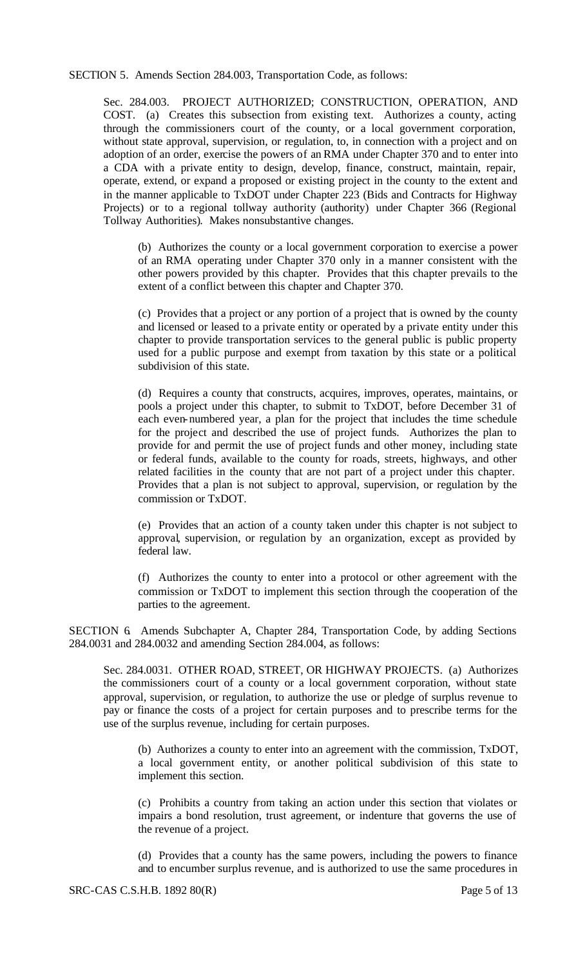SECTION 5. Amends Section 284.003, Transportation Code, as follows:

Sec. 284.003. PROJECT AUTHORIZED; CONSTRUCTION, OPERATION, AND COST. (a) Creates this subsection from existing text. Authorizes a county, acting through the commissioners court of the county, or a local government corporation, without state approval, supervision, or regulation, to, in connection with a project and on adoption of an order, exercise the powers of an RMA under Chapter 370 and to enter into a CDA with a private entity to design, develop, finance, construct, maintain, repair, operate, extend, or expand a proposed or existing project in the county to the extent and in the manner applicable to TxDOT under Chapter 223 (Bids and Contracts for Highway Projects) or to a regional tollway authority (authority) under Chapter 366 (Regional Tollway Authorities). Makes nonsubstantive changes.

(b) Authorizes the county or a local government corporation to exercise a power of an RMA operating under Chapter 370 only in a manner consistent with the other powers provided by this chapter. Provides that this chapter prevails to the extent of a conflict between this chapter and Chapter 370.

(c) Provides that a project or any portion of a project that is owned by the county and licensed or leased to a private entity or operated by a private entity under this chapter to provide transportation services to the general public is public property used for a public purpose and exempt from taxation by this state or a political subdivision of this state.

(d) Requires a county that constructs, acquires, improves, operates, maintains, or pools a project under this chapter, to submit to TxDOT, before December 31 of each even-numbered year, a plan for the project that includes the time schedule for the project and described the use of project funds. Authorizes the plan to provide for and permit the use of project funds and other money, including state or federal funds, available to the county for roads, streets, highways, and other related facilities in the county that are not part of a project under this chapter. Provides that a plan is not subject to approval, supervision, or regulation by the commission or TxDOT.

(e) Provides that an action of a county taken under this chapter is not subject to approval, supervision, or regulation by an organization, except as provided by federal law.

(f) Authorizes the county to enter into a protocol or other agreement with the commission or TxDOT to implement this section through the cooperation of the parties to the agreement.

SECTION 6. Amends Subchapter A, Chapter 284, Transportation Code, by adding Sections 284.0031 and 284.0032 and amending Section 284.004, as follows:

Sec. 284.0031. OTHER ROAD, STREET, OR HIGHWAY PROJECTS. (a) Authorizes the commissioners court of a county or a local government corporation, without state approval, supervision, or regulation, to authorize the use or pledge of surplus revenue to pay or finance the costs of a project for certain purposes and to prescribe terms for the use of the surplus revenue, including for certain purposes.

(b) Authorizes a county to enter into an agreement with the commission, TxDOT, a local government entity, or another political subdivision of this state to implement this section.

(c) Prohibits a country from taking an action under this section that violates or impairs a bond resolution, trust agreement, or indenture that governs the use of the revenue of a project.

(d) Provides that a county has the same powers, including the powers to finance and to encumber surplus revenue, and is authorized to use the same procedures in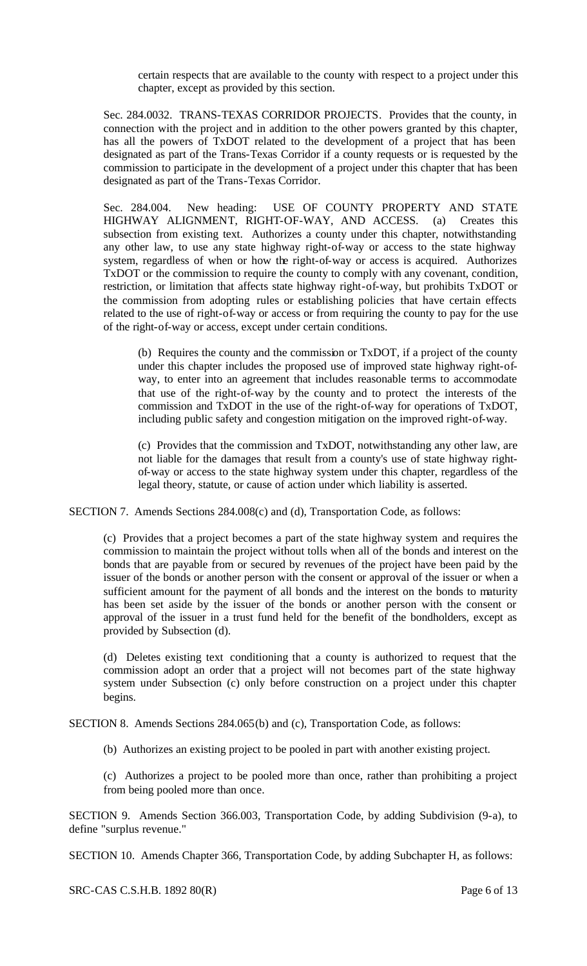certain respects that are available to the county with respect to a project under this chapter, except as provided by this section.

Sec. 284.0032. TRANS-TEXAS CORRIDOR PROJECTS. Provides that the county, in connection with the project and in addition to the other powers granted by this chapter, has all the powers of TxDOT related to the development of a project that has been designated as part of the Trans-Texas Corridor if a county requests or is requested by the commission to participate in the development of a project under this chapter that has been designated as part of the Trans-Texas Corridor.

Sec. 284.004. New heading: USE OF COUNTY PROPERTY AND STATE HIGHWAY ALIGNMENT, RIGHT-OF-WAY, AND ACCESS. (a) Creates this subsection from existing text. Authorizes a county under this chapter, notwithstanding any other law, to use any state highway right-of-way or access to the state highway system, regardless of when or how the right-of-way or access is acquired. Authorizes TxDOT or the commission to require the county to comply with any covenant, condition, restriction, or limitation that affects state highway right-of-way, but prohibits TxDOT or the commission from adopting rules or establishing policies that have certain effects related to the use of right-of-way or access or from requiring the county to pay for the use of the right-of-way or access, except under certain conditions.

(b) Requires the county and the commission or TxDOT, if a project of the county under this chapter includes the proposed use of improved state highway right-ofway, to enter into an agreement that includes reasonable terms to accommodate that use of the right-of-way by the county and to protect the interests of the commission and TxDOT in the use of the right-of-way for operations of TxDOT, including public safety and congestion mitigation on the improved right-of-way.

(c) Provides that the commission and TxDOT, notwithstanding any other law, are not liable for the damages that result from a county's use of state highway rightof-way or access to the state highway system under this chapter, regardless of the legal theory, statute, or cause of action under which liability is asserted.

SECTION 7. Amends Sections 284.008(c) and (d), Transportation Code, as follows:

(c) Provides that a project becomes a part of the state highway system and requires the commission to maintain the project without tolls when all of the bonds and interest on the bonds that are payable from or secured by revenues of the project have been paid by the issuer of the bonds or another person with the consent or approval of the issuer or when a sufficient amount for the payment of all bonds and the interest on the bonds to maturity has been set aside by the issuer of the bonds or another person with the consent or approval of the issuer in a trust fund held for the benefit of the bondholders, except as provided by Subsection (d).

(d) Deletes existing text conditioning that a county is authorized to request that the commission adopt an order that a project will not becomes part of the state highway system under Subsection (c) only before construction on a project under this chapter begins.

SECTION 8. Amends Sections 284.065(b) and (c), Transportation Code, as follows:

(b) Authorizes an existing project to be pooled in part with another existing project.

(c) Authorizes a project to be pooled more than once, rather than prohibiting a project from being pooled more than once.

SECTION 9. Amends Section 366.003, Transportation Code, by adding Subdivision (9-a), to define "surplus revenue."

SECTION 10. Amends Chapter 366, Transportation Code, by adding Subchapter H, as follows:

SRC-CAS C.S.H.B. 1892 80(R) Page 6 of 13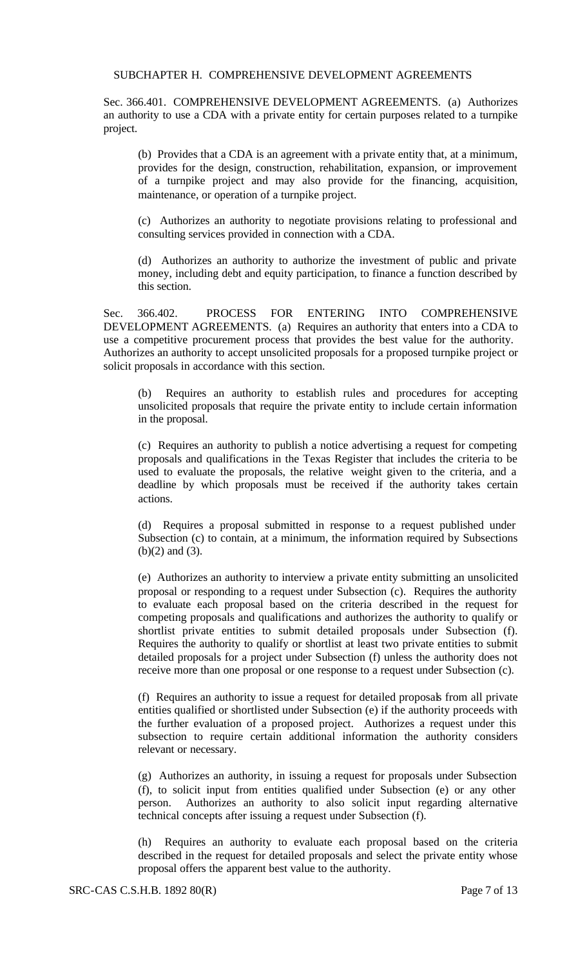#### SUBCHAPTER H. COMPREHENSIVE DEVELOPMENT AGREEMENTS

Sec. 366.401. COMPREHENSIVE DEVELOPMENT AGREEMENTS. (a) Authorizes an authority to use a CDA with a private entity for certain purposes related to a turnpike project.

(b) Provides that a CDA is an agreement with a private entity that, at a minimum, provides for the design, construction, rehabilitation, expansion, or improvement of a turnpike project and may also provide for the financing, acquisition, maintenance, or operation of a turnpike project.

(c) Authorizes an authority to negotiate provisions relating to professional and consulting services provided in connection with a CDA.

(d) Authorizes an authority to authorize the investment of public and private money, including debt and equity participation, to finance a function described by this section.

Sec. 366.402. PROCESS FOR ENTERING INTO COMPREHENSIVE DEVELOPMENT AGREEMENTS. (a) Requires an authority that enters into a CDA to use a competitive procurement process that provides the best value for the authority. Authorizes an authority to accept unsolicited proposals for a proposed turnpike project or solicit proposals in accordance with this section.

(b) Requires an authority to establish rules and procedures for accepting unsolicited proposals that require the private entity to include certain information in the proposal.

(c) Requires an authority to publish a notice advertising a request for competing proposals and qualifications in the Texas Register that includes the criteria to be used to evaluate the proposals, the relative weight given to the criteria, and a deadline by which proposals must be received if the authority takes certain actions.

(d) Requires a proposal submitted in response to a request published under Subsection (c) to contain, at a minimum, the information required by Subsections (b)(2) and (3).

(e) Authorizes an authority to interview a private entity submitting an unsolicited proposal or responding to a request under Subsection (c). Requires the authority to evaluate each proposal based on the criteria described in the request for competing proposals and qualifications and authorizes the authority to qualify or shortlist private entities to submit detailed proposals under Subsection (f). Requires the authority to qualify or shortlist at least two private entities to submit detailed proposals for a project under Subsection (f) unless the authority does not receive more than one proposal or one response to a request under Subsection (c).

(f) Requires an authority to issue a request for detailed proposals from all private entities qualified or shortlisted under Subsection (e) if the authority proceeds with the further evaluation of a proposed project. Authorizes a request under this subsection to require certain additional information the authority considers relevant or necessary.

(g) Authorizes an authority, in issuing a request for proposals under Subsection (f), to solicit input from entities qualified under Subsection (e) or any other person. Authorizes an authority to also solicit input regarding alternative technical concepts after issuing a request under Subsection (f).

(h) Requires an authority to evaluate each proposal based on the criteria described in the request for detailed proposals and select the private entity whose proposal offers the apparent best value to the authority.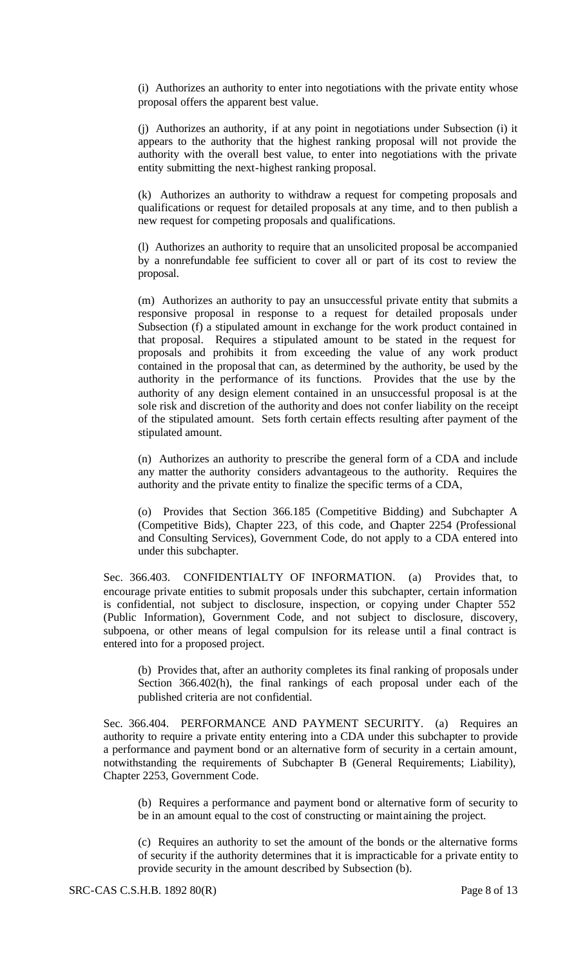(i) Authorizes an authority to enter into negotiations with the private entity whose proposal offers the apparent best value.

(j) Authorizes an authority, if at any point in negotiations under Subsection (i) it appears to the authority that the highest ranking proposal will not provide the authority with the overall best value, to enter into negotiations with the private entity submitting the next-highest ranking proposal.

(k) Authorizes an authority to withdraw a request for competing proposals and qualifications or request for detailed proposals at any time, and to then publish a new request for competing proposals and qualifications.

(l) Authorizes an authority to require that an unsolicited proposal be accompanied by a nonrefundable fee sufficient to cover all or part of its cost to review the proposal.

(m) Authorizes an authority to pay an unsuccessful private entity that submits a responsive proposal in response to a request for detailed proposals under Subsection (f) a stipulated amount in exchange for the work product contained in that proposal. Requires a stipulated amount to be stated in the request for proposals and prohibits it from exceeding the value of any work product contained in the proposal that can, as determined by the authority, be used by the authority in the performance of its functions. Provides that the use by the authority of any design element contained in an unsuccessful proposal is at the sole risk and discretion of the authority and does not confer liability on the receipt of the stipulated amount. Sets forth certain effects resulting after payment of the stipulated amount.

(n) Authorizes an authority to prescribe the general form of a CDA and include any matter the authority considers advantageous to the authority. Requires the authority and the private entity to finalize the specific terms of a CDA,

(o) Provides that Section 366.185 (Competitive Bidding) and Subchapter A (Competitive Bids), Chapter 223, of this code, and Chapter 2254 (Professional and Consulting Services), Government Code, do not apply to a CDA entered into under this subchapter.

Sec. 366.403. CONFIDENTIALTY OF INFORMATION. (a) Provides that, to encourage private entities to submit proposals under this subchapter, certain information is confidential, not subject to disclosure, inspection, or copying under Chapter 552 (Public Information), Government Code, and not subject to disclosure, discovery, subpoena, or other means of legal compulsion for its release until a final contract is entered into for a proposed project.

(b) Provides that, after an authority completes its final ranking of proposals under Section 366.402(h), the final rankings of each proposal under each of the published criteria are not confidential.

Sec. 366.404. PERFORMANCE AND PAYMENT SECURITY. (a) Requires an authority to require a private entity entering into a CDA under this subchapter to provide a performance and payment bond or an alternative form of security in a certain amount, notwithstanding the requirements of Subchapter B (General Requirements; Liability), Chapter 2253, Government Code.

(b) Requires a performance and payment bond or alternative form of security to be in an amount equal to the cost of constructing or maint aining the project.

(c) Requires an authority to set the amount of the bonds or the alternative forms of security if the authority determines that it is impracticable for a private entity to provide security in the amount described by Subsection (b).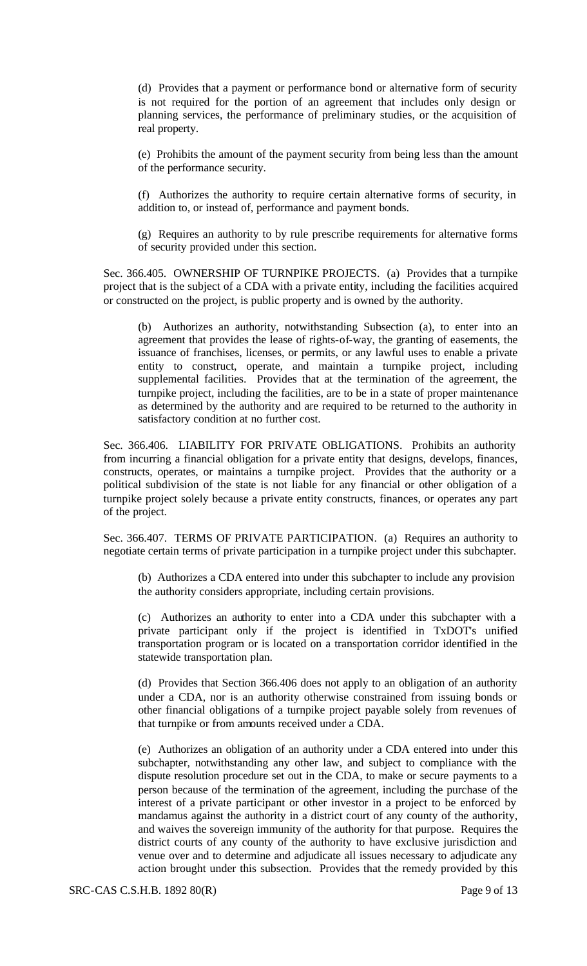(d) Provides that a payment or performance bond or alternative form of security is not required for the portion of an agreement that includes only design or planning services, the performance of preliminary studies, or the acquisition of real property.

(e) Prohibits the amount of the payment security from being less than the amount of the performance security.

(f) Authorizes the authority to require certain alternative forms of security, in addition to, or instead of, performance and payment bonds.

(g) Requires an authority to by rule prescribe requirements for alternative forms of security provided under this section.

Sec. 366.405. OWNERSHIP OF TURNPIKE PROJECTS. (a) Provides that a turnpike project that is the subject of a CDA with a private entity, including the facilities acquired or constructed on the project, is public property and is owned by the authority.

(b) Authorizes an authority, notwithstanding Subsection (a), to enter into an agreement that provides the lease of rights-of-way, the granting of easements, the issuance of franchises, licenses, or permits, or any lawful uses to enable a private entity to construct, operate, and maintain a turnpike project, including supplemental facilities. Provides that at the termination of the agreement, the turnpike project, including the facilities, are to be in a state of proper maintenance as determined by the authority and are required to be returned to the authority in satisfactory condition at no further cost.

Sec. 366.406. LIABILITY FOR PRIVATE OBLIGATIONS. Prohibits an authority from incurring a financial obligation for a private entity that designs, develops, finances, constructs, operates, or maintains a turnpike project. Provides that the authority or a political subdivision of the state is not liable for any financial or other obligation of a turnpike project solely because a private entity constructs, finances, or operates any part of the project.

Sec. 366.407. TERMS OF PRIVATE PARTICIPATION. (a) Requires an authority to negotiate certain terms of private participation in a turnpike project under this subchapter.

(b) Authorizes a CDA entered into under this subchapter to include any provision the authority considers appropriate, including certain provisions.

(c) Authorizes an authority to enter into a CDA under this subchapter with a private participant only if the project is identified in TxDOT's unified transportation program or is located on a transportation corridor identified in the statewide transportation plan.

(d) Provides that Section 366.406 does not apply to an obligation of an authority under a CDA, nor is an authority otherwise constrained from issuing bonds or other financial obligations of a turnpike project payable solely from revenues of that turnpike or from amounts received under a CDA.

(e) Authorizes an obligation of an authority under a CDA entered into under this subchapter, notwithstanding any other law, and subject to compliance with the dispute resolution procedure set out in the CDA, to make or secure payments to a person because of the termination of the agreement, including the purchase of the interest of a private participant or other investor in a project to be enforced by mandamus against the authority in a district court of any county of the authority, and waives the sovereign immunity of the authority for that purpose. Requires the district courts of any county of the authority to have exclusive jurisdiction and venue over and to determine and adjudicate all issues necessary to adjudicate any action brought under this subsection. Provides that the remedy provided by this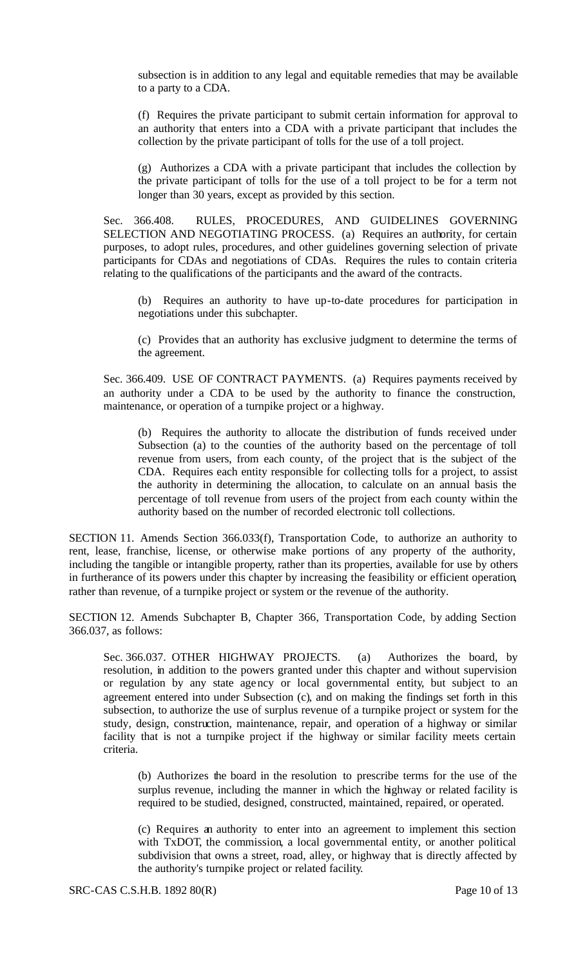subsection is in addition to any legal and equitable remedies that may be available to a party to a CDA.

(f) Requires the private participant to submit certain information for approval to an authority that enters into a CDA with a private participant that includes the collection by the private participant of tolls for the use of a toll project.

(g) Authorizes a CDA with a private participant that includes the collection by the private participant of tolls for the use of a toll project to be for a term not longer than 30 years, except as provided by this section.

Sec. 366.408. RULES, PROCEDURES, AND GUIDELINES GOVERNING SELECTION AND NEGOTIATING PROCESS. (a) Requires an authority, for certain purposes, to adopt rules, procedures, and other guidelines governing selection of private participants for CDAs and negotiations of CDAs. Requires the rules to contain criteria relating to the qualifications of the participants and the award of the contracts.

(b) Requires an authority to have up-to-date procedures for participation in negotiations under this subchapter.

(c) Provides that an authority has exclusive judgment to determine the terms of the agreement.

Sec. 366.409. USE OF CONTRACT PAYMENTS. (a) Requires payments received by an authority under a CDA to be used by the authority to finance the construction, maintenance, or operation of a turnpike project or a highway.

(b) Requires the authority to allocate the distribution of funds received under Subsection (a) to the counties of the authority based on the percentage of toll revenue from users, from each county, of the project that is the subject of the CDA. Requires each entity responsible for collecting tolls for a project, to assist the authority in determining the allocation, to calculate on an annual basis the percentage of toll revenue from users of the project from each county within the authority based on the number of recorded electronic toll collections.

SECTION 11. Amends Section 366.033(f), Transportation Code, to authorize an authority to rent, lease, franchise, license, or otherwise make portions of any property of the authority, including the tangible or intangible property, rather than its properties, available for use by others in furtherance of its powers under this chapter by increasing the feasibility or efficient operation, rather than revenue, of a turnpike project or system or the revenue of the authority.

SECTION 12. Amends Subchapter B, Chapter 366, Transportation Code, by adding Section 366.037, as follows:

Sec. 366.037. OTHER HIGHWAY PROJECTS. (a) Authorizes the board, by resolution, in addition to the powers granted under this chapter and without supervision or regulation by any state agency or local governmental entity, but subject to an agreement entered into under Subsection (c), and on making the findings set forth in this subsection, to authorize the use of surplus revenue of a turnpike project or system for the study, design, construction, maintenance, repair, and operation of a highway or similar facility that is not a turnpike project if the highway or similar facility meets certain criteria.

(b) Authorizes the board in the resolution to prescribe terms for the use of the surplus revenue, including the manner in which the highway or related facility is required to be studied, designed, constructed, maintained, repaired, or operated.

(c) Requires an authority to enter into an agreement to implement this section with TxDOT, the commission, a local governmental entity, or another political subdivision that owns a street, road, alley, or highway that is directly affected by the authority's turnpike project or related facility.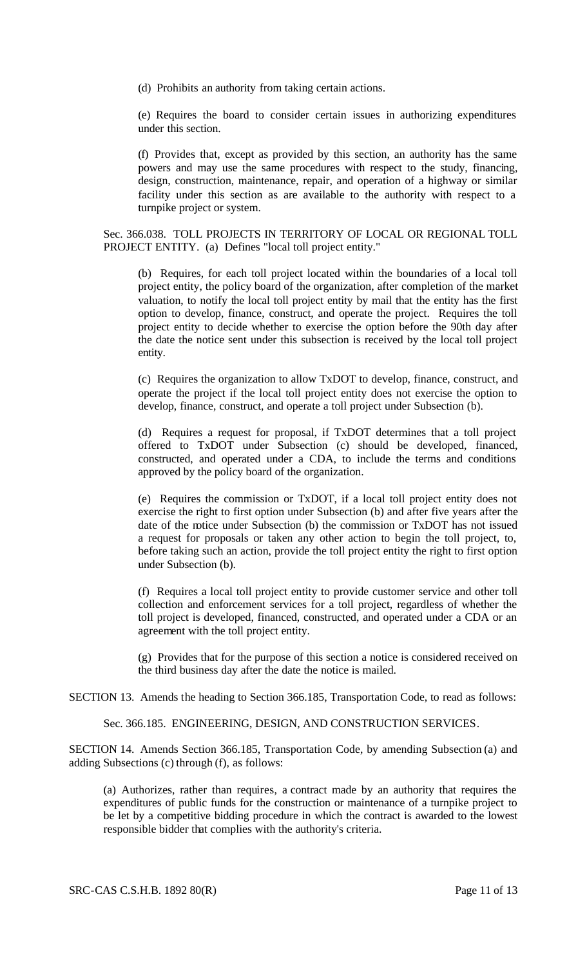(d) Prohibits an authority from taking certain actions.

(e) Requires the board to consider certain issues in authorizing expenditures under this section.

(f) Provides that, except as provided by this section, an authority has the same powers and may use the same procedures with respect to the study, financing, design, construction, maintenance, repair, and operation of a highway or similar facility under this section as are available to the authority with respect to a turnpike project or system.

Sec. 366.038. TOLL PROJECTS IN TERRITORY OF LOCAL OR REGIONAL TOLL PROJECT ENTITY. (a) Defines "local toll project entity."

(b) Requires, for each toll project located within the boundaries of a local toll project entity, the policy board of the organization, after completion of the market valuation, to notify the local toll project entity by mail that the entity has the first option to develop, finance, construct, and operate the project. Requires the toll project entity to decide whether to exercise the option before the 90th day after the date the notice sent under this subsection is received by the local toll project entity.

(c) Requires the organization to allow TxDOT to develop, finance, construct, and operate the project if the local toll project entity does not exercise the option to develop, finance, construct, and operate a toll project under Subsection (b).

(d) Requires a request for proposal, if TxDOT determines that a toll project offered to TxDOT under Subsection (c) should be developed, financed, constructed, and operated under a CDA, to include the terms and conditions approved by the policy board of the organization.

(e) Requires the commission or TxDOT, if a local toll project entity does not exercise the right to first option under Subsection (b) and after five years after the date of the notice under Subsection (b) the commission or TxDOT has not issued a request for proposals or taken any other action to begin the toll project, to, before taking such an action, provide the toll project entity the right to first option under Subsection (b).

(f) Requires a local toll project entity to provide customer service and other toll collection and enforcement services for a toll project, regardless of whether the toll project is developed, financed, constructed, and operated under a CDA or an agreement with the toll project entity.

(g) Provides that for the purpose of this section a notice is considered received on the third business day after the date the notice is mailed.

SECTION 13. Amends the heading to Section 366.185, Transportation Code, to read as follows:

Sec. 366.185. ENGINEERING, DESIGN, AND CONSTRUCTION SERVICES.

SECTION 14. Amends Section 366.185, Transportation Code, by amending Subsection (a) and adding Subsections (c) through (f), as follows:

(a) Authorizes, rather than requires, a contract made by an authority that requires the expenditures of public funds for the construction or maintenance of a turnpike project to be let by a competitive bidding procedure in which the contract is awarded to the lowest responsible bidder that complies with the authority's criteria.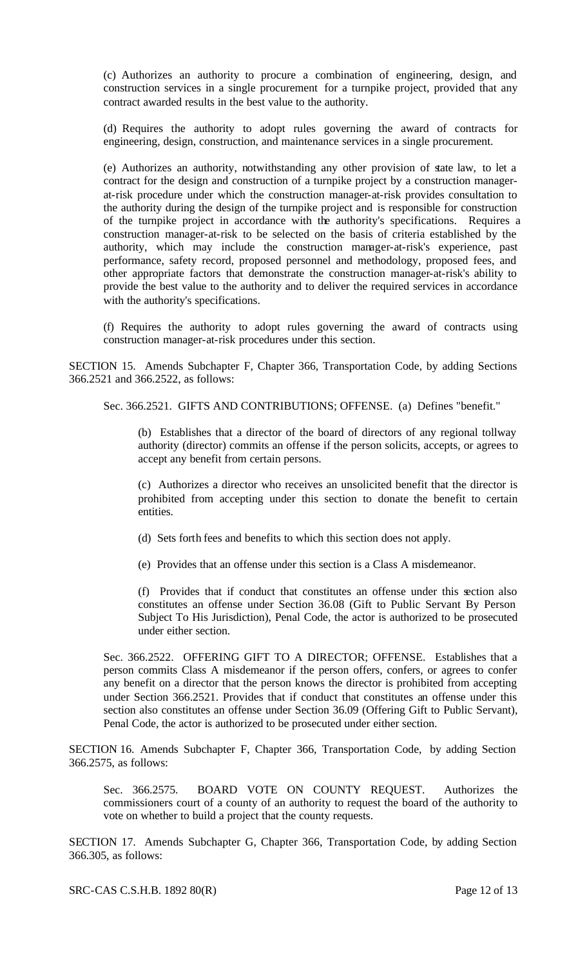(c) Authorizes an authority to procure a combination of engineering, design, and construction services in a single procurement for a turnpike project, provided that any contract awarded results in the best value to the authority.

(d) Requires the authority to adopt rules governing the award of contracts for engineering, design, construction, and maintenance services in a single procurement.

(e) Authorizes an authority, notwithstanding any other provision of state law, to let a contract for the design and construction of a turnpike project by a construction managerat-risk procedure under which the construction manager-at-risk provides consultation to the authority during the design of the turnpike project and is responsible for construction of the turnpike project in accordance with the authority's specifications. Requires a construction manager-at-risk to be selected on the basis of criteria established by the authority, which may include the construction manager-at-risk's experience, past performance, safety record, proposed personnel and methodology, proposed fees, and other appropriate factors that demonstrate the construction manager-at-risk's ability to provide the best value to the authority and to deliver the required services in accordance with the authority's specifications.

(f) Requires the authority to adopt rules governing the award of contracts using construction manager-at-risk procedures under this section.

SECTION 15. Amends Subchapter F, Chapter 366, Transportation Code, by adding Sections 366.2521 and 366.2522, as follows:

Sec. 366.2521. GIFTS AND CONTRIBUTIONS; OFFENSE. (a) Defines "benefit."

(b) Establishes that a director of the board of directors of any regional tollway authority (director) commits an offense if the person solicits, accepts, or agrees to accept any benefit from certain persons.

(c) Authorizes a director who receives an unsolicited benefit that the director is prohibited from accepting under this section to donate the benefit to certain entities.

- (d) Sets forth fees and benefits to which this section does not apply.
- (e) Provides that an offense under this section is a Class A misdemeanor.

(f) Provides that if conduct that constitutes an offense under this section also constitutes an offense under Section 36.08 (Gift to Public Servant By Person Subject To His Jurisdiction), Penal Code, the actor is authorized to be prosecuted under either section.

Sec. 366.2522. OFFERING GIFT TO A DIRECTOR; OFFENSE. Establishes that a person commits Class A misdemeanor if the person offers, confers, or agrees to confer any benefit on a director that the person knows the director is prohibited from accepting under Section 366.2521. Provides that if conduct that constitutes an offense under this section also constitutes an offense under Section 36.09 (Offering Gift to Public Servant), Penal Code, the actor is authorized to be prosecuted under either section.

SECTION 16. Amends Subchapter F, Chapter 366, Transportation Code, by adding Section 366.2575, as follows:

Sec. 366.2575. BOARD VOTE ON COUNTY REQUEST. Authorizes the commissioners court of a county of an authority to request the board of the authority to vote on whether to build a project that the county requests.

SECTION 17. Amends Subchapter G, Chapter 366, Transportation Code, by adding Section 366.305, as follows: